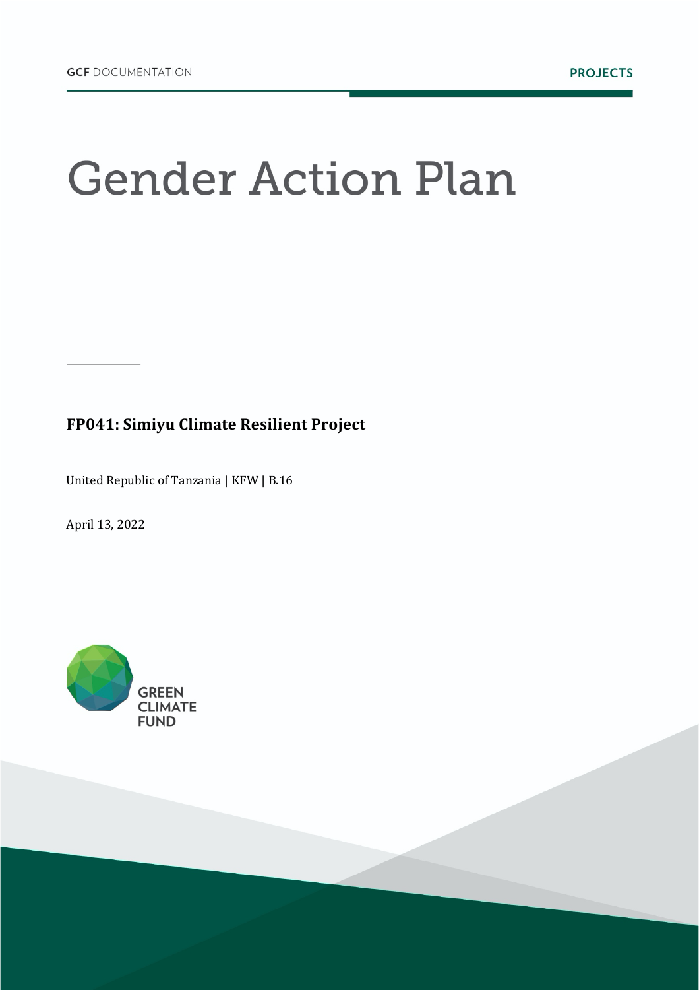# **Gender Action Plan**

# **FP041: Simiyu Climate Resilient Project**

United Republic of Tanzania | KFW | B.16

April 13, 2022

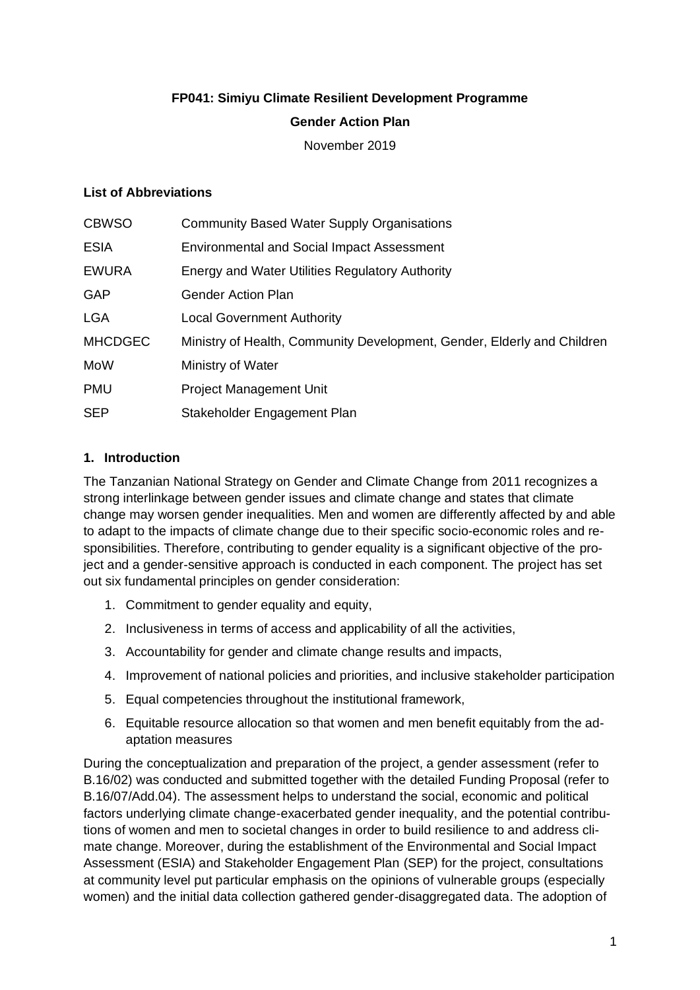#### **FP041: Simiyu Climate Resilient Development Programme**

#### **Gender Action Plan**

November 2019

#### **List of Abbreviations**

| <b>CBWSO</b>   | <b>Community Based Water Supply Organisations</b>                       |
|----------------|-------------------------------------------------------------------------|
| <b>ESIA</b>    | <b>Environmental and Social Impact Assessment</b>                       |
| <b>EWURA</b>   | Energy and Water Utilities Regulatory Authority                         |
| <b>GAP</b>     | <b>Gender Action Plan</b>                                               |
| <b>LGA</b>     | <b>Local Government Authority</b>                                       |
| <b>MHCDGEC</b> | Ministry of Health, Community Development, Gender, Elderly and Children |
| MoW            | Ministry of Water                                                       |
| <b>PMU</b>     | <b>Project Management Unit</b>                                          |
| <b>SEP</b>     | Stakeholder Engagement Plan                                             |
|                |                                                                         |

#### **1. Introduction**

The Tanzanian National Strategy on Gender and Climate Change from 2011 recognizes a strong interlinkage between gender issues and climate change and states that climate change may worsen gender inequalities. Men and women are differently affected by and able to adapt to the impacts of climate change due to their specific socio-economic roles and responsibilities. Therefore, contributing to gender equality is a significant objective of the project and a gender-sensitive approach is conducted in each component. The project has set out six fundamental principles on gender consideration:

- 1. Commitment to gender equality and equity,
- 2. Inclusiveness in terms of access and applicability of all the activities,
- 3. Accountability for gender and climate change results and impacts,
- 4. Improvement of national policies and priorities, and inclusive stakeholder participation
- 5. Equal competencies throughout the institutional framework,
- 6. Equitable resource allocation so that women and men benefit equitably from the adaptation measures

During the conceptualization and preparation of the project, a gender assessment (refer to B.16/02) was conducted and submitted together with the detailed Funding Proposal (refer to B.16/07/Add.04). The assessment helps to understand the social, economic and political factors underlying climate change-exacerbated gender inequality, and the potential contributions of women and men to societal changes in order to build resilience to and address climate change. Moreover, during the establishment of the Environmental and Social Impact Assessment (ESIA) and Stakeholder Engagement Plan (SEP) for the project, consultations at community level put particular emphasis on the opinions of vulnerable groups (especially women) and the initial data collection gathered gender-disaggregated data. The adoption of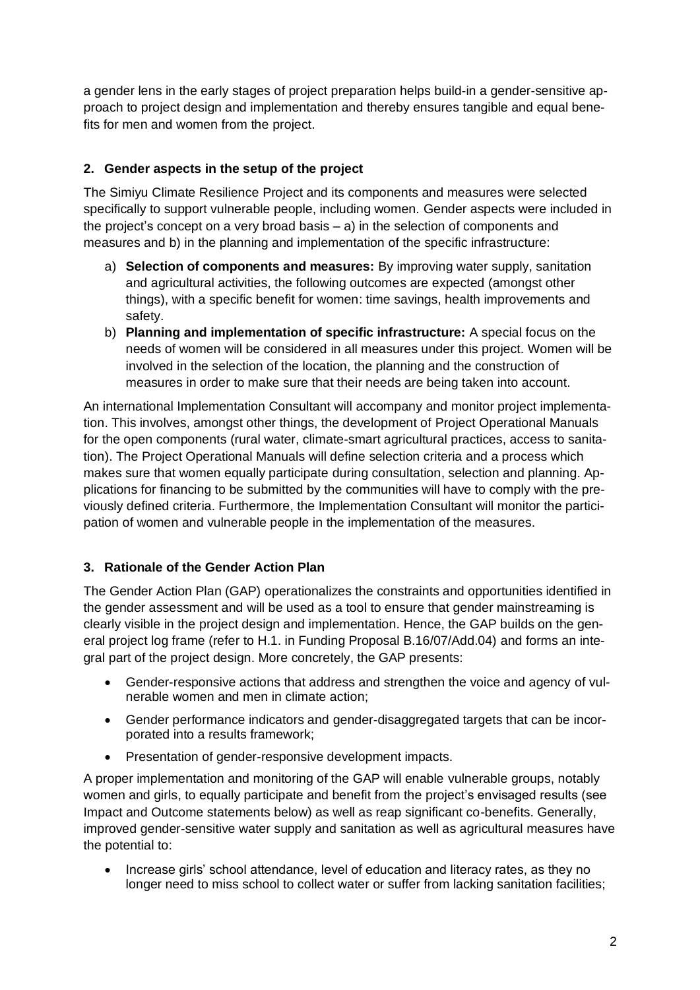a gender lens in the early stages of project preparation helps build-in a gender-sensitive approach to project design and implementation and thereby ensures tangible and equal benefits for men and women from the project.

# **2. Gender aspects in the setup of the project**

The Simiyu Climate Resilience Project and its components and measures were selected specifically to support vulnerable people, including women. Gender aspects were included in the project's concept on a very broad basis – a) in the selection of components and measures and b) in the planning and implementation of the specific infrastructure:

- a) **Selection of components and measures:** By improving water supply, sanitation and agricultural activities, the following outcomes are expected (amongst other things), with a specific benefit for women: time savings, health improvements and safety.
- b) **Planning and implementation of specific infrastructure:** A special focus on the needs of women will be considered in all measures under this project. Women will be involved in the selection of the location, the planning and the construction of measures in order to make sure that their needs are being taken into account.

An international Implementation Consultant will accompany and monitor project implementation. This involves, amongst other things, the development of Project Operational Manuals for the open components (rural water, climate-smart agricultural practices, access to sanitation). The Project Operational Manuals will define selection criteria and a process which makes sure that women equally participate during consultation, selection and planning. Applications for financing to be submitted by the communities will have to comply with the previously defined criteria. Furthermore, the Implementation Consultant will monitor the participation of women and vulnerable people in the implementation of the measures.

## **3. Rationale of the Gender Action Plan**

The Gender Action Plan (GAP) operationalizes the constraints and opportunities identified in the gender assessment and will be used as a tool to ensure that gender mainstreaming is clearly visible in the project design and implementation. Hence, the GAP builds on the general project log frame (refer to H.1. in Funding Proposal B.16/07/Add.04) and forms an integral part of the project design. More concretely, the GAP presents:

- Gender-responsive actions that address and strengthen the voice and agency of vulnerable women and men in climate action;
- Gender performance indicators and gender-disaggregated targets that can be incorporated into a results framework;
- Presentation of gender-responsive development impacts.

A proper implementation and monitoring of the GAP will enable vulnerable groups, notably women and girls, to equally participate and benefit from the project's envisaged results (see Impact and Outcome statements below) as well as reap significant co-benefits. Generally, improved gender-sensitive water supply and sanitation as well as agricultural measures have the potential to:

• Increase girls' school attendance, level of education and literacy rates, as they no longer need to miss school to collect water or suffer from lacking sanitation facilities;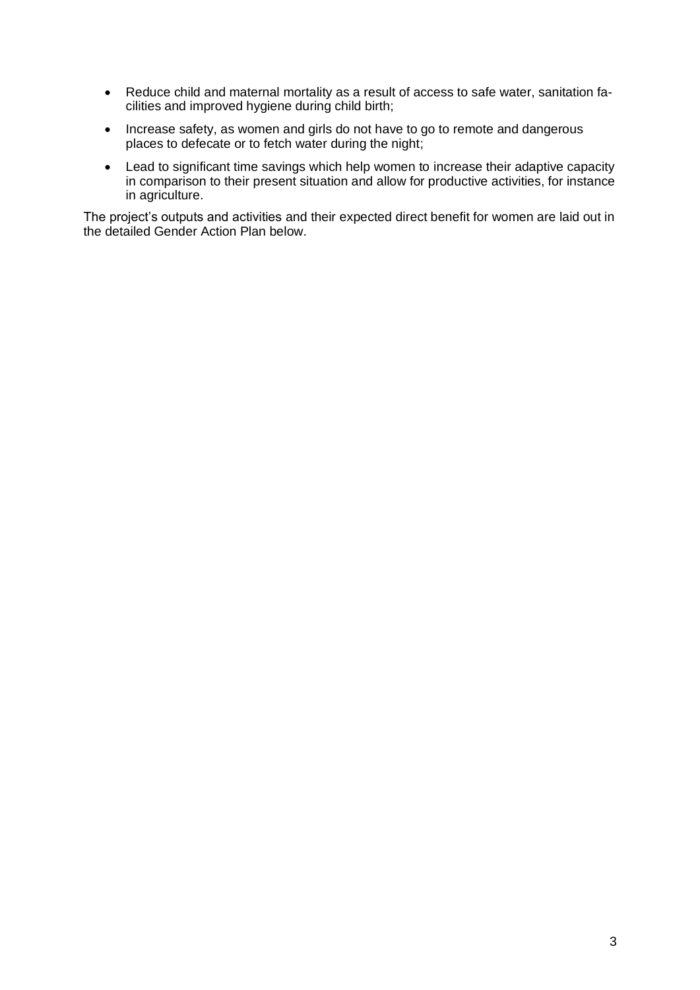- Reduce child and maternal mortality as a result of access to safe water, sanitation facilities and improved hygiene during child birth;
- Increase safety, as women and girls do not have to go to remote and dangerous places to defecate or to fetch water during the night;
- Lead to significant time savings which help women to increase their adaptive capacity in comparison to their present situation and allow for productive activities, for instance in agriculture.

The project's outputs and activities and their expected direct benefit for women are laid out in the detailed Gender Action Plan below.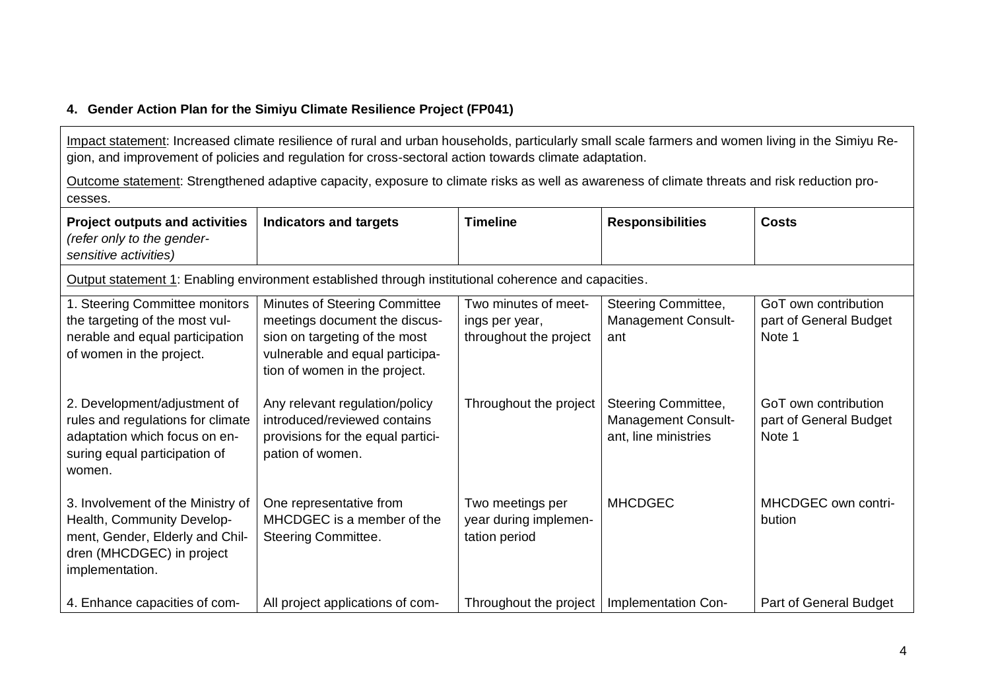### **4. Gender Action Plan for the Simiyu Climate Resilience Project (FP041)**

Impact statement: Increased climate resilience of rural and urban households, particularly small scale farmers and women living in the Simiyu Region, and improvement of policies and regulation for cross-sectoral action towards climate adaptation.

Outcome statement: Strengthened adaptive capacity, exposure to climate risks as well as awareness of climate threats and risk reduction processes.

| <b>Project outputs and activities</b><br>(refer only to the gender-<br>sensitive activities)                                                       | <b>Indicators and targets</b>                                                                                                                                       | <b>Timeline</b>                                                  | <b>Responsibilities</b>                                                   | <b>Costs</b>                                             |  |  |  |  |
|----------------------------------------------------------------------------------------------------------------------------------------------------|---------------------------------------------------------------------------------------------------------------------------------------------------------------------|------------------------------------------------------------------|---------------------------------------------------------------------------|----------------------------------------------------------|--|--|--|--|
| Output statement 1: Enabling environment established through institutional coherence and capacities.                                               |                                                                                                                                                                     |                                                                  |                                                                           |                                                          |  |  |  |  |
| 1. Steering Committee monitors<br>the targeting of the most vul-<br>nerable and equal participation<br>of women in the project.                    | Minutes of Steering Committee<br>meetings document the discus-<br>sion on targeting of the most<br>vulnerable and equal participa-<br>tion of women in the project. | Two minutes of meet-<br>ings per year,<br>throughout the project | Steering Committee,<br><b>Management Consult-</b><br>ant                  | GoT own contribution<br>part of General Budget<br>Note 1 |  |  |  |  |
| 2. Development/adjustment of<br>rules and regulations for climate<br>adaptation which focus on en-<br>suring equal participation of<br>women.      | Any relevant regulation/policy<br>introduced/reviewed contains<br>provisions for the equal partici-<br>pation of women.                                             | Throughout the project                                           | Steering Committee,<br><b>Management Consult-</b><br>ant, line ministries | GoT own contribution<br>part of General Budget<br>Note 1 |  |  |  |  |
| 3. Involvement of the Ministry of<br>Health, Community Develop-<br>ment, Gender, Elderly and Chil-<br>dren (MHCDGEC) in project<br>implementation. | One representative from<br>MHCDGEC is a member of the<br>Steering Committee.                                                                                        | Two meetings per<br>year during implemen-<br>tation period       | <b>MHCDGEC</b>                                                            | MHCDGEC own contri-<br>bution                            |  |  |  |  |
| 4. Enhance capacities of com-                                                                                                                      | All project applications of com-                                                                                                                                    | Throughout the project                                           | Implementation Con-                                                       | Part of General Budget                                   |  |  |  |  |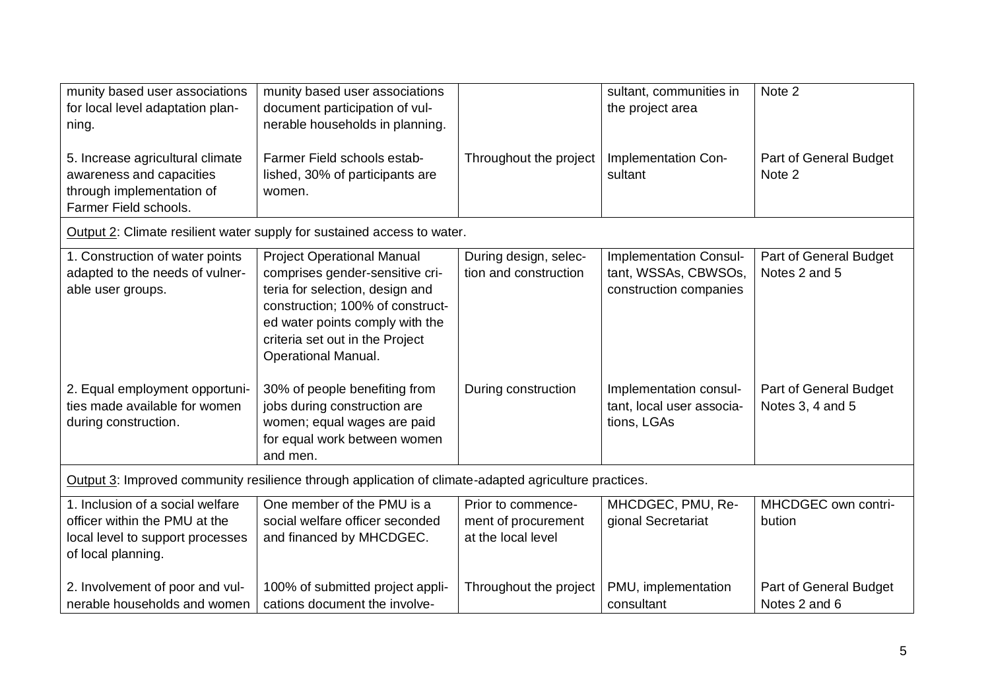| munity based user associations<br>for local level adaptation plan-<br>ning.<br>5. Increase agricultural climate<br>awareness and capacities<br>through implementation of<br>Farmer Field schools. | munity based user associations<br>document participation of vul-<br>nerable households in planning.<br>Farmer Field schools estab-<br>lished, 30% of participants are<br>women.                                                                 | Throughout the project                                          | sultant, communities in<br>the project area<br>Implementation Con-<br>sultant | Note 2<br>Part of General Budget<br>Note 2 |  |  |  |
|---------------------------------------------------------------------------------------------------------------------------------------------------------------------------------------------------|-------------------------------------------------------------------------------------------------------------------------------------------------------------------------------------------------------------------------------------------------|-----------------------------------------------------------------|-------------------------------------------------------------------------------|--------------------------------------------|--|--|--|
|                                                                                                                                                                                                   | Output 2: Climate resilient water supply for sustained access to water.                                                                                                                                                                         |                                                                 |                                                                               |                                            |  |  |  |
| 1. Construction of water points<br>adapted to the needs of vulner-<br>able user groups.                                                                                                           | <b>Project Operational Manual</b><br>comprises gender-sensitive cri-<br>teria for selection, design and<br>construction; 100% of construct-<br>ed water points comply with the<br>criteria set out in the Project<br><b>Operational Manual.</b> | During design, selec-<br>tion and construction                  | Implementation Consul-<br>tant, WSSAs, CBWSOs,<br>construction companies      | Part of General Budget<br>Notes 2 and 5    |  |  |  |
| 2. Equal employment opportuni-<br>ties made available for women<br>during construction.                                                                                                           | 30% of people benefiting from<br>jobs during construction are<br>women; equal wages are paid<br>for equal work between women<br>and men.                                                                                                        | During construction                                             | Implementation consul-<br>tant, local user associa-<br>tions, LGAs            | Part of General Budget<br>Notes 3, 4 and 5 |  |  |  |
| Output 3: Improved community resilience through application of climate-adapted agriculture practices.                                                                                             |                                                                                                                                                                                                                                                 |                                                                 |                                                                               |                                            |  |  |  |
| 1. Inclusion of a social welfare<br>officer within the PMU at the<br>local level to support processes<br>of local planning.                                                                       | One member of the PMU is a<br>social welfare officer seconded<br>and financed by MHCDGEC.                                                                                                                                                       | Prior to commence-<br>ment of procurement<br>at the local level | MHCDGEC, PMU, Re-<br>gional Secretariat                                       | MHCDGEC own contri-<br>bution              |  |  |  |
| 2. Involvement of poor and vul-<br>nerable households and women                                                                                                                                   | 100% of submitted project appli-<br>cations document the involve-                                                                                                                                                                               | Throughout the project                                          | PMU, implementation<br>consultant                                             | Part of General Budget<br>Notes 2 and 6    |  |  |  |